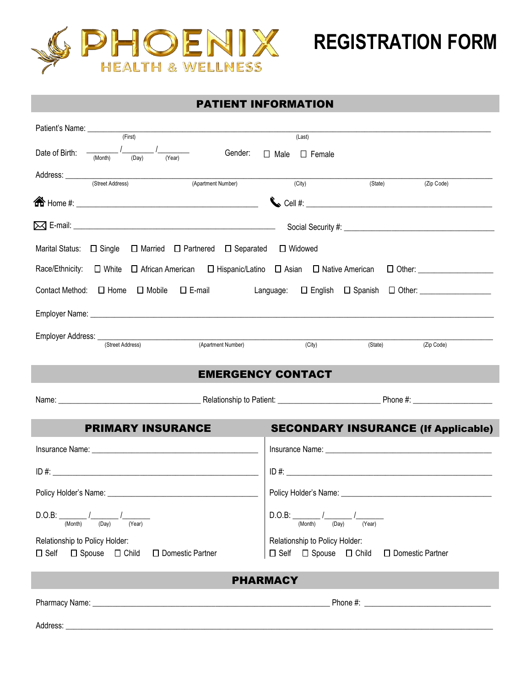

#### PATIENT INFORMATION

| Patient's Name: (First)                                                                                                                                                                                                              | (Last)                                     |                                                                                                                                                                                                                                |
|--------------------------------------------------------------------------------------------------------------------------------------------------------------------------------------------------------------------------------------|--------------------------------------------|--------------------------------------------------------------------------------------------------------------------------------------------------------------------------------------------------------------------------------|
| Date of Birth: $\frac{1}{(Month)}$ $\frac{1}{(Day)}$ $\frac{1}{(Year)}$                                                                                                                                                              | Gender: • Male • Female                    |                                                                                                                                                                                                                                |
| Address: <u>Contract (Street Address) (Apartment</u>                                                                                                                                                                                 |                                            |                                                                                                                                                                                                                                |
| (Apartment Number)                                                                                                                                                                                                                   | (City)<br>(State)                          | (Zip Code)                                                                                                                                                                                                                     |
|                                                                                                                                                                                                                                      |                                            |                                                                                                                                                                                                                                |
|                                                                                                                                                                                                                                      |                                            |                                                                                                                                                                                                                                |
| Marital Status: □ Single □ Married □ Partnered □ Separated □ Widowed                                                                                                                                                                 |                                            |                                                                                                                                                                                                                                |
|                                                                                                                                                                                                                                      |                                            |                                                                                                                                                                                                                                |
| Contact Method: $\Box$ Home $\Box$ Mobile<br>$\Box$ E-mail<br><br>Language: $\Box$ English $\Box$ Spanish $\Box$ Other:                                                                                                              |                                            |                                                                                                                                                                                                                                |
| Employer Name: <u>Communications and Communications and Communications and Communications and Communications and Communications and Communications and Communications and Communications and Communications and Communications a</u> |                                            |                                                                                                                                                                                                                                |
| Employer Address: <u>(Street Address)</u><br>(Apartment Number)                                                                                                                                                                      |                                            |                                                                                                                                                                                                                                |
|                                                                                                                                                                                                                                      | (City)<br>(State)                          | (Zip Code)                                                                                                                                                                                                                     |
|                                                                                                                                                                                                                                      | <b>EMERGENCY CONTACT</b>                   |                                                                                                                                                                                                                                |
|                                                                                                                                                                                                                                      |                                            |                                                                                                                                                                                                                                |
|                                                                                                                                                                                                                                      |                                            |                                                                                                                                                                                                                                |
| <b>PRIMARY INSURANCE</b>                                                                                                                                                                                                             | <b>SECONDARY INSURANCE (If Applicable)</b> |                                                                                                                                                                                                                                |
|                                                                                                                                                                                                                                      |                                            |                                                                                                                                                                                                                                |
|                                                                                                                                                                                                                                      |                                            |                                                                                                                                                                                                                                |
|                                                                                                                                                                                                                                      |                                            |                                                                                                                                                                                                                                |
| D.O.B:<br>(Month)<br>(Day)<br>(Year)                                                                                                                                                                                                 | D.O.B:<br>(Month)<br>(Day)<br>(Year)       |                                                                                                                                                                                                                                |
| Relationship to Policy Holder:                                                                                                                                                                                                       | Relationship to Policy Holder:             |                                                                                                                                                                                                                                |
| $\Box$ Spouse $\Box$ Child<br>$\square$ Self<br>□ Domestic Partner                                                                                                                                                                   | $\Box$ Self $\Box$ Spouse $\Box$ Child     | □ Domestic Partner                                                                                                                                                                                                             |
|                                                                                                                                                                                                                                      | <b>PHARMACY</b>                            |                                                                                                                                                                                                                                |
|                                                                                                                                                                                                                                      |                                            | Phone #: the state of the state of the state of the state of the state of the state of the state of the state of the state of the state of the state of the state of the state of the state of the state of the state of the s |
|                                                                                                                                                                                                                                      |                                            |                                                                                                                                                                                                                                |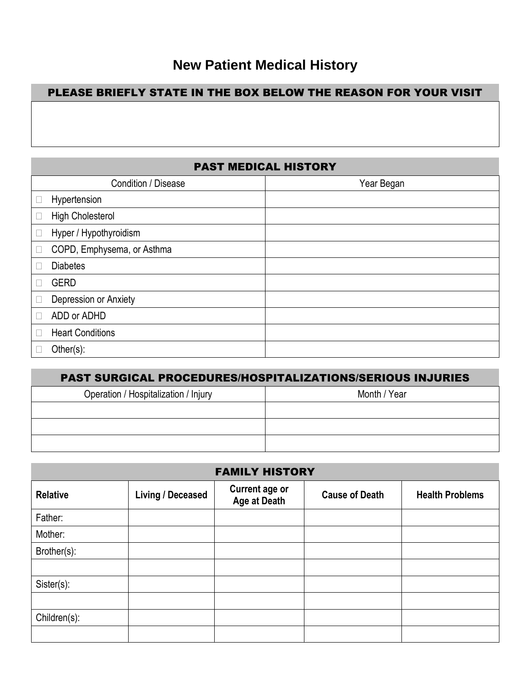# **New Patient Medical History**

## PLEASE BRIEFLY STATE IN THE BOX BELOW THE REASON FOR YOUR VISIT

## PAST MEDICAL HISTORY

|           | Condition / Disease        | Year Began |
|-----------|----------------------------|------------|
| $\bullet$ | Hypertension               |            |
| ٠         | <b>High Cholesterol</b>    |            |
| ٠         | Hyper / Hypothyroidism     |            |
| $\bullet$ | COPD, Emphysema, or Asthma |            |
|           | <b>Diabetes</b>            |            |
| $\bullet$ | <b>GERD</b>                |            |
| $\bullet$ | Depression or Anxiety      |            |
| $\bullet$ | ADD or ADHD                |            |
| $\bullet$ | <b>Heart Conditions</b>    |            |
|           | Other $(s)$ :              |            |

| <b>PAST SURGICAL PROCEDURES/HOSPITALIZATIONS/SERIOUS INJURIES</b> |  |  |
|-------------------------------------------------------------------|--|--|
| Operation / Hospitalization / Injury<br>Month / Year              |  |  |
|                                                                   |  |  |
|                                                                   |  |  |
|                                                                   |  |  |

| <b>FAMILY HISTORY</b> |                          |                                       |                       |                        |
|-----------------------|--------------------------|---------------------------------------|-----------------------|------------------------|
| <b>Relative</b>       | <b>Living / Deceased</b> | <b>Current age or</b><br>Age at Death | <b>Cause of Death</b> | <b>Health Problems</b> |
| Father:               |                          |                                       |                       |                        |
| Mother:               |                          |                                       |                       |                        |
| Brother(s):           |                          |                                       |                       |                        |
|                       |                          |                                       |                       |                        |
| Sister(s):            |                          |                                       |                       |                        |
|                       |                          |                                       |                       |                        |
| Children(s):          |                          |                                       |                       |                        |
|                       |                          |                                       |                       |                        |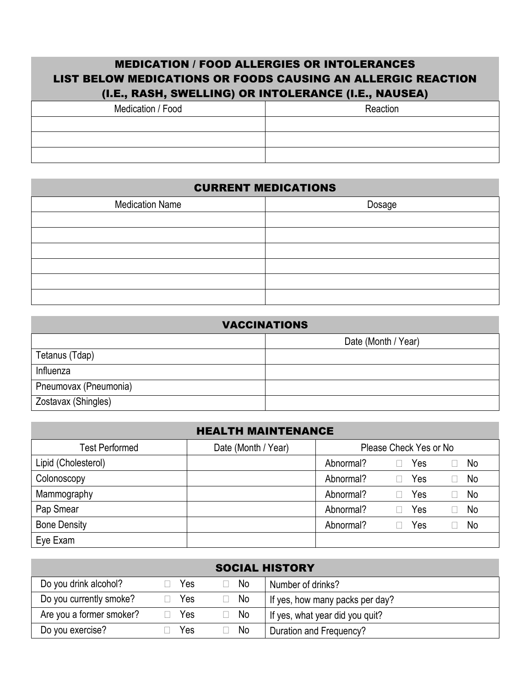#### MEDICATION / FOOD ALLERGIES OR INTOLERANCES LIST BELOW MEDICATIONS OR FOODS CAUSING AN ALLERGIC REACTION (I.E., RASH, SWELLING) OR INTOLERANCE (I.E., NAUSEA)

| Medication / Food | Reaction |
|-------------------|----------|
|                   |          |
|                   |          |
|                   |          |

#### CURRENT MEDICATIONS

| <b>Medication Name</b> | Dosage |
|------------------------|--------|
|                        |        |
|                        |        |
|                        |        |
|                        |        |
|                        |        |
|                        |        |

| <b>VACCINATIONS</b>   |  |  |  |
|-----------------------|--|--|--|
| Date (Month / Year)   |  |  |  |
| Tetanus (Tdap)        |  |  |  |
| Influenza             |  |  |  |
| Pneumovax (Pneumonia) |  |  |  |
| Zostavax (Shingles)   |  |  |  |

| <b>HEALTH MAINTENANCE</b> |  |                        |                        |  |
|---------------------------|--|------------------------|------------------------|--|
| <b>Test Performed</b>     |  | Please Check Yes or No |                        |  |
| Lipid (Cholesterol)       |  | Abnormal?              | Yes<br>No<br>$\bullet$ |  |
| Colonoscopy               |  | Abnormal?              | <b>No</b><br>Yes<br>٠  |  |
| Mammography               |  | Abnormal?              | No<br>Yes<br>$\bullet$ |  |
| Pap Smear                 |  | Abnormal?              | No<br>Yes              |  |
| <b>Bone Density</b>       |  | Abnormal?              | Yes<br>No<br>٠         |  |
| Eye Exam                  |  |                        |                        |  |

| <b>SOCIAL HISTORY</b>    |     |           |                                 |
|--------------------------|-----|-----------|---------------------------------|
| Do you drink alcohol?    | Yes | <b>No</b> | Number of drinks?               |
| Do you currently smoke?  | Yes | No        | If yes, how many packs per day? |
| Are you a former smoker? | Yes | No        | If yes, what year did you quit? |
| Do you exercise?         | Yes | No        | Duration and Frequency?         |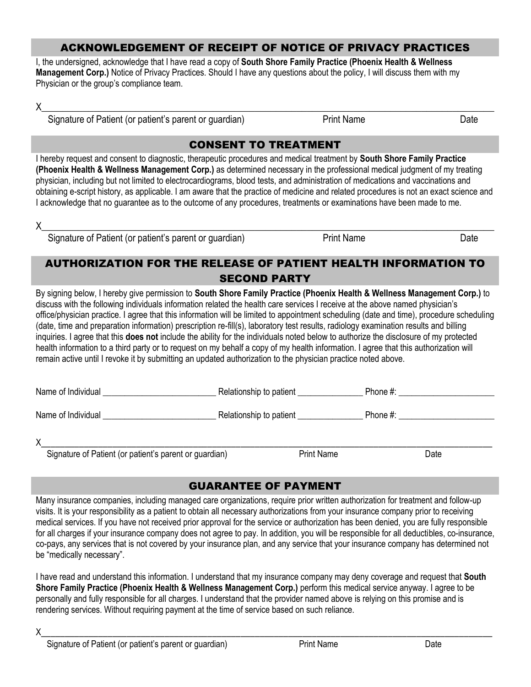#### ACKNOWLEDGEMENT OF RECEIPT OF NOTICE OF PRIVACY PRACTICES

I, the undersigned, acknowledge that I have read a copy of **South Shore Family Practice (Phoenix Health & Wellness Management Corp.)** Notice of Privacy Practices. Should I have any questions about the policy, I will discuss them with my Physician or the group's compliance team.

 $\times$   $\,$ 

Signature of Patient (or patient's parent or guardian) Print Name Print Name

#### CONSENT TO TREATMENT

I hereby request and consent to diagnostic, therapeutic procedures and medical treatment by **South Shore Family Practice (Phoenix Health & Wellness Management Corp.)** as determined necessary in the professional medical judgment of my treating physician, including but not limited to electrocardiograms, blood tests, and administration of medications and vaccinations and obtaining e-script history, as applicable. I am aware that the practice of medicine and related procedures is not an exact science and I acknowledge that no guarantee as to the outcome of any procedures, treatments or examinations have been made to me.

 $\chi$   $\bar{\chi}$  and the contribution of the contribution of the contribution of the contribution of the contribution of the contribution of  $\chi$ 

Signature of Patient (or patient's parent or guardian) Print Name Print Name

#### AUTHORIZATION FOR THE RELEASE OF PATIENT HEALTH INFORMATION TO SECOND PARTY

By signing below, I hereby give permission to **South Shore Family Practice (Phoenix Health & Wellness Management Corp.)** to discuss with the following individuals information related the health care services I receive at the above named physician's office/physician practice. I agree that this information will be limited to appointment scheduling (date and time), procedure scheduling (date, time and preparation information) prescription re-fill(s), laboratory test results, radiology examination results and billing inquiries. I agree that this **does not** include the ability for the individuals noted below to authorize the disclosure of my protected health information to a third party or to request on my behalf a copy of my health information. I agree that this authorization will remain active until I revoke it by submitting an updated authorization to the physician practice noted above.

| Name of Individual | Relationship to patient | Phone #: |
|--------------------|-------------------------|----------|
| Name of Individual | Relationship to patient | Phone #: |
| Χ<br>$\sim$        | <b>PUBLIC</b>           | - 1      |

Signature of Patient (or patient's parent or guardian) Print Name Print Name Date

## GUARANTEE OF PAYMENT

Many insurance companies, including managed care organizations, require prior written authorization for treatment and follow-up visits. It is your responsibility as a patient to obtain all necessary authorizations from your insurance company prior to receiving medical services. If you have not received prior approval for the service or authorization has been denied, you are fully responsible for all charges if your insurance company does not agree to pay. In addition, you will be responsible for all deductibles, co-insurance, co-pays, any services that is not covered by your insurance plan, and any service that your insurance company has determined not be "medically necessary".

I have read and understand this information. I understand that my insurance company may deny coverage and request that **South Shore Family Practice (Phoenix Health & Wellness Management Corp.)** perform this medical service anyway. I agree to be personally and fully responsible for all charges. I understand that the provider named above is relying on this promise and is rendering services. Without requiring payment at the time of service based on such reliance.

 ${\sf X}$  , and the contract of the contract of the contract of the contract of the contract of the contract of the contract of the contract of the contract of the contract of the contract of the contract of the contract of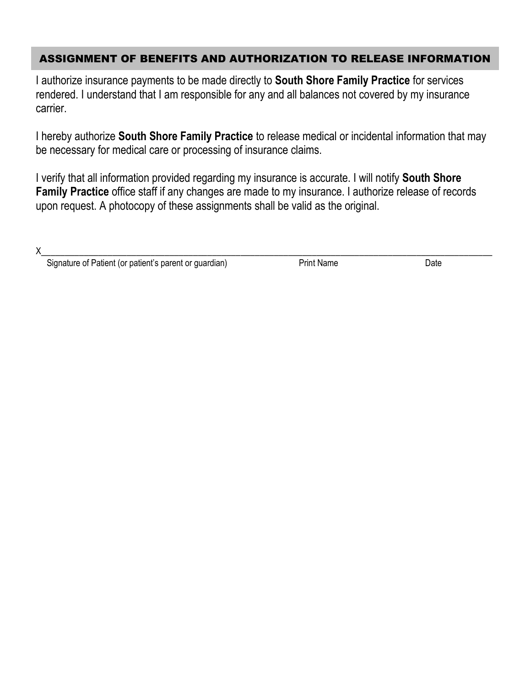#### ASSIGNMENT OF BENEFITS AND AUTHORIZATION TO RELEASE INFORMATION

I authorize insurance payments to be made directly to **South Shore Family Practice** for services rendered. I understand that I am responsible for any and all balances not covered by my insurance carrier.

I hereby authorize **South Shore Family Practice** to release medical or incidental information that may be necessary for medical care or processing of insurance claims.

I verify that all information provided regarding my insurance is accurate. I will notify **South Shore Family Practice** office staff if any changes are made to my insurance. I authorize release of records upon request. A photocopy of these assignments shall be valid as the original.

Signature of Patient (or patient's parent or guardian) Print Name Print Name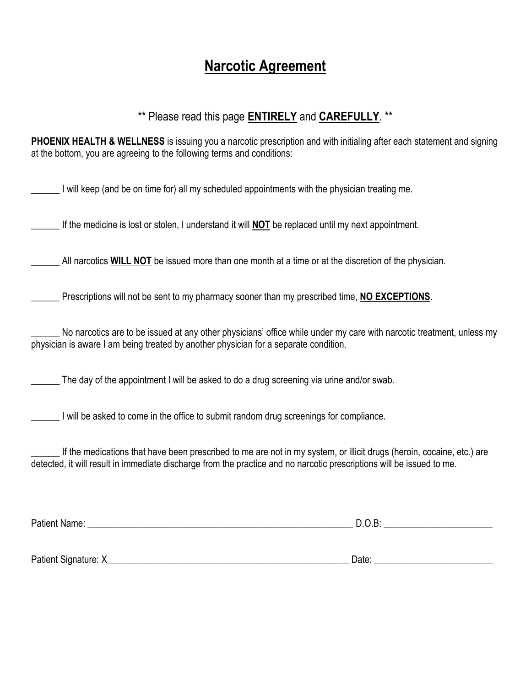# **Narcotic Agreement**

## \*\* Please read this page **ENTIRELY** and **CAREFULLY**. \*\*

**PHOENIX HEALTH & WELLNESS** is issuing you a narcotic prescription and with initialing after each statement and signing at the bottom, you are agreeing to the following terms and conditions:

I will keep (and be on time for) all my scheduled appointments with the physician treating me.

If the medicine is lost or stolen, I understand it will **NOT** be replaced until my next appointment.

\_\_\_\_\_\_ All narcotics **WILL NOT** be issued more than one month at a time or at the discretion of the physician.

Prescriptions will not be sent to my pharmacy sooner than my prescribed time, **NO EXCEPTIONS**.

No narcotics are to be issued at any other physicians' office while under my care with narcotic treatment, unless my physician is aware I am being treated by another physician for a separate condition.

\_\_\_\_\_\_ The day of the appointment I will be asked to do a drug screening via urine and/or swab.

I will be asked to come in the office to submit random drug screenings for compliance.

If the medications that have been prescribed to me are not in my system, or illicit drugs (heroin, cocaine, etc.) are detected, it will result in immediate discharge from the practice and no narcotic prescriptions will be issued to me.

Patient Name:  $\Box$  D.O.B:  $\Box$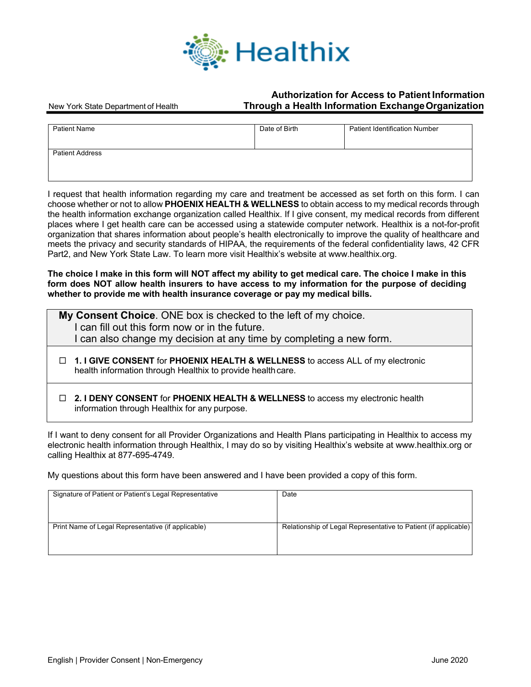

#### **Authorization for Access to Patient Information** New York State Department of Health **Through a Health Information ExchangeOrganization**

| <b>Patient Name</b>    | Date of Birth | <b>Patient Identification Number</b> |
|------------------------|---------------|--------------------------------------|
| <b>Patient Address</b> |               |                                      |

I request that health information regarding my care and treatment be accessed as set forth on this form. I can choose whether or not to allow **PHOENIX HEALTH & WELLNESS** to obtain access to my medical records through the health information exchange organization called Healthix. If I give consent, my medical records from different places where I get health care can be accessed using a statewide computer network. Healthix is a not-for-profit organization that shares information about people's health electronically to improve the quality of healthcare and meets the privacy and security standards of HIPAA, the requirements of the federal confidentiality laws, 42 CFR Part2, and New York State Law. To learn more visit Healthix's website at www.healthix.org.

**The choice I make in this form will NOT affect my ability to get medical care. The choice I make in this form does NOT allow health insurers to have access to my information for the purpose of deciding whether to provide me with health insurance coverage or pay my medical bills.**

| My Consent Choice. ONE box is checked to the left of my choice.<br>I can fill out this form now or in the future.<br>I can also change my decision at any time by completing a new form. |  |
|------------------------------------------------------------------------------------------------------------------------------------------------------------------------------------------|--|
| □ 1. I GIVE CONSENT for PHOENIX HEALTH & WELLNESS to access ALL of my electronic<br>health information through Healthix to provide health care.                                          |  |
| □ 2. I DENY CONSENT for PHOENIX HEALTH & WELLNESS to access my electronic health<br>information through Healthix for any purpose.                                                        |  |

If I want to deny consent for all Provider Organizations and Health Plans participating in Healthix to access my electronic health information through Healthix, I may do so by visiting Healthix's website at www.healthix.org or calling Healthix at 877-695-4749.

My questions about this form have been answered and I have been provided a copy of this form.

| Signature of Patient or Patient's Legal Representative | Date                                                            |
|--------------------------------------------------------|-----------------------------------------------------------------|
| Print Name of Legal Representative (if applicable)     | Relationship of Legal Representative to Patient (if applicable) |